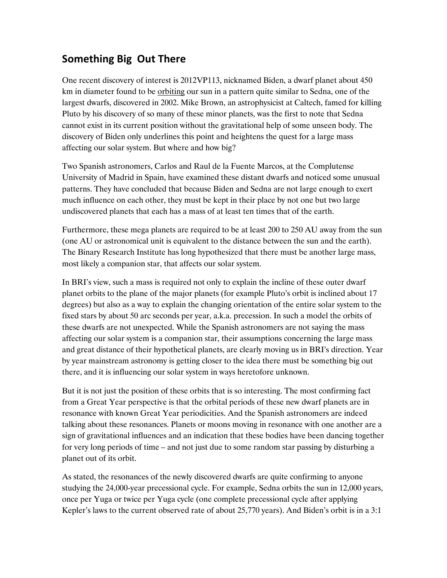## **Something Big Out There**

One recent discovery of interest is 2012VP113, nicknamed Biden, a dwarf planet about 450 km in diameter found to be orbiting our sun in a pattern quite similar to Sedna, one of the largest dwarfs, discovered in 2002. Mike Brown, an astrophysicist at Caltech, famed for killing Pluto by his discovery of so many of these minor planets, was the first to note that Sedna cannot exist in its current position without the gravitational help of some unseen body. The discovery of Biden only underlines this point and heightens the quest for a large mass affecting our solar system. But where and how big?

Two Spanish astronomers, Carlos and Raul de la Fuente Marcos, at the Complutense University of Madrid in Spain, have examined these distant dwarfs and noticed some unusual patterns. They have concluded that because Biden and Sedna are not large enough to exert much influence on each other, they must be kept in their place by not one but two large undiscovered planets that each has a mass of at least ten times that of the earth.

Furthermore, these mega planets are required to be at least 200 to 250 AU away from the sun (one AU or astronomical unit is equivalent to the distance between the sun and the earth). The Binary Research Institute has long hypothesized that there must be another large mass, most likely a companion star, that affects our solar system.

In BRI's view, such a mass is required not only to explain the incline of these outer dwarf planet orbits to the plane of the major planets (for example Pluto's orbit is inclined about 17 degrees) but also as a way to explain the changing orientation of the entire solar system to the fixed stars by about 50 arc seconds per year, a.k.a. precession. In such a model the orbits of these dwarfs are not unexpected. While the Spanish astronomers are not saying the mass affecting our solar system is a companion star, their assumptions concerning the large mass and great distance of their hypothetical planets, are clearly moving us in BRI's direction. Year by year mainstream astronomy is getting closer to the idea there must be something big out there, and it is influencing our solar system in ways heretofore unknown.

But it is not just the position of these orbits that is so interesting. The most confirming fact from a Great Year perspective is that the orbital periods of these new dwarf planets are in resonance with known Great Year periodicities. And the Spanish astronomers are indeed talking about these resonances. Planets or moons moving in resonance with one another are a sign of gravitational influences and an indication that these bodies have been dancing together for very long periods of time – and not just due to some random star passing by disturbing a planet out of its orbit.

As stated, the resonances of the newly discovered dwarfs are quite confirming to anyone studying the 24,000-year precessional cycle. For example, Sedna orbits the sun in 12,000 years, once per Yuga or twice per Yuga cycle (one complete precessional cycle after applying Kepler's laws to the current observed rate of about 25,770 years). And Biden's orbit is in a 3:1